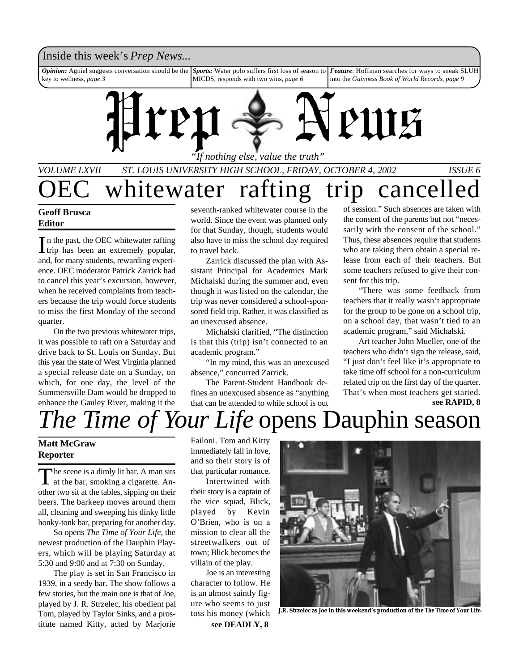### Inside this week's *Prep News*...

*Feature*: Hoffman searches for ways to sneak SLUH into the *Guinness Book of World Records*, *page 9 Sports:* Water polo suffers first loss of season to MICDS, responds with two wins, *page 6 Opinion:* Agniel suggests conversation should be the key to wellness, *page 3*



*VOLUME LXVII ST. LOUIS UNIVERSITY HIGH SCHOOL, FRIDAY, OCTOBER 4, 2002 ISSUE 6* whitewater rafting trip cancelled

### **Geoff Brusca Editor**

In the past, the OEC whitewater rafting<br>trip has been an extremely popular, n the past, the OEC whitewater rafting and, for many students, rewarding experience. OEC moderator Patrick Zarrick had to cancel this year's excursion, however, when he received complaints from teachers because the trip would force students to miss the first Monday of the second quarter.

On the two previous whitewater trips, it was possible to raft on a Saturday and drive back to St. Louis on Sunday. But this year the state of West Virginia planned a special release date on a Sunday, on which, for one day, the level of the Summersville Dam would be dropped to enhance the Gauley River, making it the

seventh-ranked whitewater course in the world. Since the event was planned only for that Sunday, though, students would also have to miss the school day required to travel back.

Zarrick discussed the plan with Assistant Principal for Academics Mark Michalski during the summer and, even though it was listed on the calendar, the trip was never considered a school-sponsored field trip. Rather, it was classified as an unexcused absence.

Michalski clarified, "The distinction is that this (trip) isn't connected to an academic program."

"In my mind, this was an unexcused absence," concurred Zarrick.

The Parent-Student Handbook defines an unexcused absence as "anything that can be attended to while school is out of session." Such absences are taken with the consent of the parents but not "necessarily with the consent of the school." Thus, these absences require that students who are taking them obtain a special release from each of their teachers. But some teachers refused to give their consent for this trip.

"There was some feedback from teachers that it really wasn't appropriate for the group to be gone on a school trip, on a school day, that wasn't tied to an academic program," said Michalski.

Art teacher John Mueller, one of the teachers who didn't sign the release, said, "I just don't feel like it's appropriate to take time off school for a non-curriculum related trip on the first day of the quarter. That's when most teachers get started.

**see RAPID, 8**

## *The Time of Your Life* opens Dauphin season

### **Matt McGraw Reporter**

The scene is a dimly lit bar. A man sits<br>at the bar, smoking a cigarette. Anhe scene is a dimly lit bar. A man sits other two sit at the tables, sipping on their beers. The barkeep moves around them all, cleaning and sweeping his dinky little honky-tonk bar, preparing for another day.

So opens *The Time of Your Life*, the newest production of the Dauphin Players, which will be playing Saturday at 5:30 and 9:00 and at 7:30 on Sunday.

The play is set in San Francisco in 1939, in a seedy bar. The show follows a few stories, but the main one is that of Joe, played by J. R. Strzelec, his obedient pal Tom, played by Taylor Sinks, and a prostitute named Kitty, acted by Marjorie

Failoni. Tom and Kitty immediately fall in love, and so their story is of that particular romance.

Intertwined with their story is a captain of the vice squad, Blick, played by Kevin O'Brien, who is on a mission to clear all the streetwalkers out of town; Blick becomes the villain of the play.

Joe is an interesting character to follow. He is an almost saintly figure who seems to just toss his money (which **see DEADLY, 8**



**J.R. Strzelec as Joe in this weekend's production of the** *The Time of Your Life.*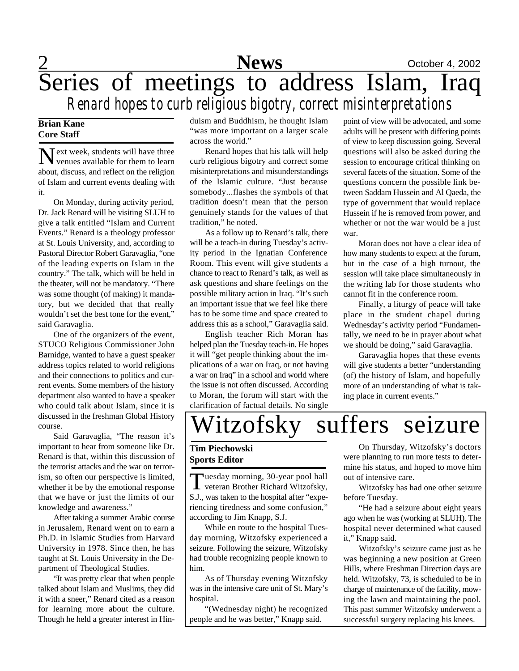

## 2 **News** October 4, 2002 Series of meetings to address Islam, Iraq *Renard hopes to curb religious bigotry, correct misinterpretations*

### **Brian Kane Core Staff**

Next week, students will have three<br>
venues available for them to learn venues available for them to learn about, discuss, and reflect on the religion of Islam and current events dealing with it.

On Monday, during activity period, Dr. Jack Renard will be visiting SLUH to give a talk entitled "Islam and Current Events." Renard is a theology professor at St. Louis University, and, according to Pastoral Director Robert Garavaglia, "one of the leading experts on Islam in the country." The talk, which will be held in the theater, will not be mandatory. "There was some thought (of making) it mandatory, but we decided that that really wouldn't set the best tone for the event," said Garavaglia.

One of the organizers of the event, STUCO Religious Commissioner John Barnidge, wanted to have a guest speaker address topics related to world religions and their connections to politics and current events. Some members of the history department also wanted to have a speaker who could talk about Islam, since it is discussed in the freshman Global History course.

Said Garavaglia, "The reason it's important to hear from someone like Dr. Renard is that, within this discussion of the terrorist attacks and the war on terrorism, so often our perspective is limited, whether it be by the emotional response that we have or just the limits of our knowledge and awareness."

After taking a summer Arabic course in Jerusalem, Renard went on to earn a Ph.D. in Islamic Studies from Harvard University in 1978. Since then, he has taught at St. Louis University in the Department of Theological Studies.

"It was pretty clear that when people talked about Islam and Muslims, they did it with a sneer," Renard cited as a reason for learning more about the culture. Though he held a greater interest in Hinduism and Buddhism, he thought Islam "was more important on a larger scale across the world."

Renard hopes that his talk will help curb religious bigotry and correct some misinterpretations and misunderstandings of the Islamic culture. "Just because somebody...flashes the symbols of that tradition doesn't mean that the person genuinely stands for the values of that tradition," he noted.

As a follow up to Renard's talk, there will be a teach-in during Tuesday's activity period in the Ignatian Conference Room. This event will give students a chance to react to Renard's talk, as well as ask questions and share feelings on the possible military action in Iraq. "It's such an important issue that we feel like there has to be some time and space created to address this as a school," Garavaglia said.

English teacher Rich Moran has helped plan the Tuesday teach-in. He hopes it will "get people thinking about the implications of a war on Iraq, or not having a war on Iraq" in a school and world where the issue is not often discussed. According to Moran, the forum will start with the clarification of factual details. No single

point of view will be advocated, and some adults will be present with differing points of view to keep discussion going. Several questions will also be asked during the session to encourage critical thinking on several facets of the situation. Some of the questions concern the possible link between Saddam Hussein and Al Qaeda, the type of government that would replace Hussein if he is removed from power, and whether or not the war would be a just war.

Moran does not have a clear idea of how many students to expect at the forum, but in the case of a high turnout, the session will take place simultaneously in the writing lab for those students who cannot fit in the conference room.

Finally, a liturgy of peace will take place in the student chapel during Wednesday's activity period "Fundamentally, we need to be in prayer about what we should be doing," said Garavaglia.

Garavaglia hopes that these events will give students a better "understanding (of) the history of Islam, and hopefully more of an understanding of what is taking place in current events."

# Witzofsky suffers seizure

### **Tim Piechowski Sports Editor**

Tuesday morning, 30-year pool hall<br>veteran Brother Richard Witzofsky, uesday morning, 30-year pool hall S.J., was taken to the hospital after "experiencing tiredness and some confusion," according to Jim Knapp, S.J.

While en route to the hospital Tuesday morning, Witzofsky experienced a seizure. Following the seizure, Witzofsky had trouble recognizing people known to him.

As of Thursday evening Witzofsky was in the intensive care unit of St. Mary's hospital.

"(Wednesday night) he recognized people and he was better," Knapp said.

On Thursday, Witzofsky's doctors were planning to run more tests to determine his status, and hoped to move him out of intensive care.

Witzofsky has had one other seizure before Tuesday.

"He had a seizure about eight years ago when he was (working at SLUH). The hospital never determined what caused it," Knapp said.

Witzofsky's seizure came just as he was beginning a new position at Green Hills, where Freshman Direction days are held. Witzofsky, 73, is scheduled to be in charge of maintenance of the facility, mowing the lawn and maintaining the pool. This past summer Witzofsky underwent a successful surgery replacing his knees.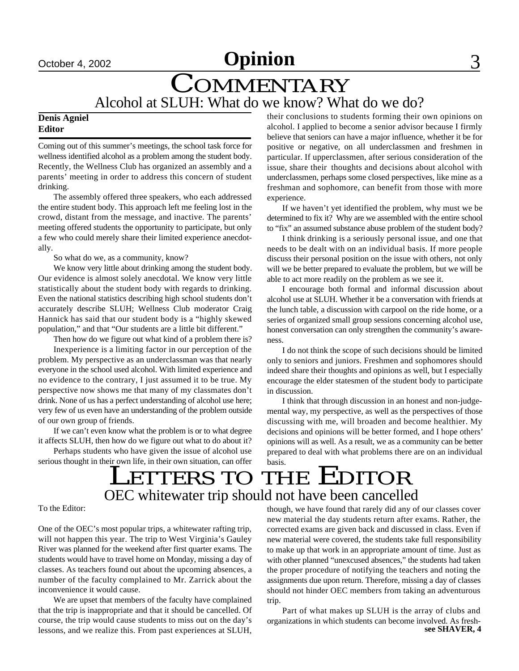## COMMENTARY Alcohol at SLUH: What do we know? What do we do?

### **Denis Agniel Editor**

Coming out of this summer's meetings, the school task force for wellness identified alcohol as a problem among the student body. Recently, the Wellness Club has organized an assembly and a parents' meeting in order to address this concern of student drinking.

The assembly offered three speakers, who each addressed the entire student body. This approach left me feeling lost in the crowd, distant from the message, and inactive. The parents' meeting offered students the opportunity to participate, but only a few who could merely share their limited experience anecdotally.

So what do we, as a community, know?

We know very little about drinking among the student body. Our evidence is almost solely anecdotal. We know very little statistically about the student body with regards to drinking. Even the national statistics describing high school students don't accurately describe SLUH; Wellness Club moderator Craig Hannick has said that our student body is a "highly skewed population," and that "Our students are a little bit different."

Then how do we figure out what kind of a problem there is?

Inexperience is a limiting factor in our perception of the problem. My perspective as an underclassman was that nearly everyone in the school used alcohol. With limited experience and no evidence to the contrary, I just assumed it to be true. My perspective now shows me that many of my classmates don't drink. None of us has a perfect understanding of alcohol use here; very few of us even have an understanding of the problem outside of our own group of friends.

If we can't even know what the problem is or to what degree it affects SLUH, then how do we figure out what to do about it?

Perhaps students who have given the issue of alcohol use serious thought in their own life, in their own situation, can offer their conclusions to students forming their own opinions on alcohol. I applied to become a senior advisor because I firmly believe that seniors can have a major influence, whether it be for positive or negative, on all underclassmen and freshmen in particular. If upperclassmen, after serious consideration of the issue, share their thoughts and decisions about alcohol with underclassmen, perhaps some closed perspectives, like mine as a freshman and sophomore, can benefit from those with more experience.

If we haven't yet identified the problem, why must we be determined to fix it? Why are we assembled with the entire school to "fix" an assumed substance abuse problem of the student body?

I think drinking is a seriously personal issue, and one that needs to be dealt with on an individual basis. If more people discuss their personal position on the issue with others, not only will we be better prepared to evaluate the problem, but we will be able to act more readily on the problem as we see it.

I encourage both formal and informal discussion about alcohol use at SLUH. Whether it be a conversation with friends at the lunch table, a discussion with carpool on the ride home, or a series of organized small group sessions concerning alcohol use, honest conversation can only strengthen the community's awareness.

I do not think the scope of such decisions should be limited only to seniors and juniors. Freshmen and sophomores should indeed share their thoughts and opinions as well, but I especially encourage the elder statesmen of the student body to participate in discussion.

I think that through discussion in an honest and non-judgemental way, my perspective, as well as the perspectives of those discussing with me, will broaden and become healthier. My decisions and opinions will be better formed, and I hope others' opinions will as well. As a result, we as a community can be better prepared to deal with what problems there are on an individual basis.

## LETTERS TO THE EDITOR OEC whitewater trip should not have been cancelled

To the Editor:

One of the OEC's most popular trips, a whitewater rafting trip, will not happen this year. The trip to West Virginia's Gauley River was planned for the weekend after first quarter exams. The students would have to travel home on Monday, missing a day of classes. As teachers found out about the upcoming absences, a number of the faculty complained to Mr. Zarrick about the inconvenience it would cause.

We are upset that members of the faculty have complained that the trip is inappropriate and that it should be cancelled. Of course, the trip would cause students to miss out on the day's lessons, and we realize this. From past experiences at SLUH,

though, we have found that rarely did any of our classes cover new material the day students return after exams. Rather, the corrected exams are given back and discussed in class. Even if new material were covered, the students take full responsibility to make up that work in an appropriate amount of time. Just as with other planned "unexcused absences," the students had taken the proper procedure of notifying the teachers and noting the assignments due upon return. Therefore, missing a day of classes should not hinder OEC members from taking an adventurous trip.

Part of what makes up SLUH is the array of clubs and organizations in which students can become involved. As fresh**see SHAVER, 4**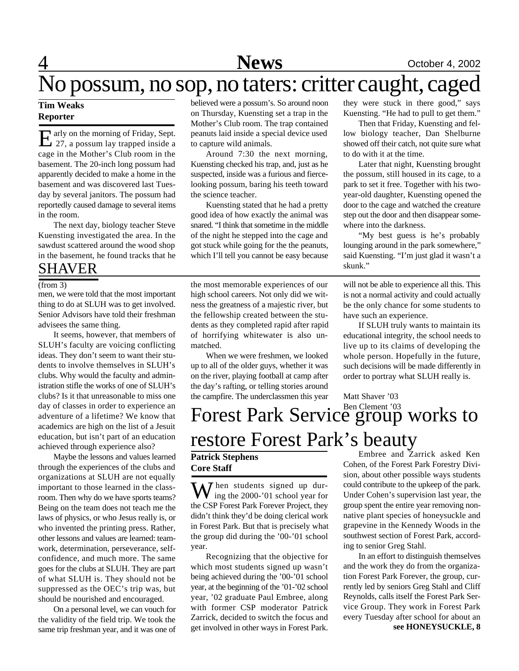## 4 **News** October 4, 2002

## No possum, no sop, no taters: critter caught, caged

### **Tim Weaks Reporter**

E arly on the morning of Friday, Sept.<br>27, a possum lay trapped inside a arly on the morning of Friday, Sept. cage in the Mother's Club room in the basement. The 20-inch long possum had apparently decided to make a home in the basement and was discovered last Tuesday by several janitors. The possum had reportedly caused damage to several items in the room.

The next day, biology teacher Steve Kuensting investigated the area. In the sawdust scattered around the wood shop in the basement, he found tracks that he

SHAVER

men, we were told that the most important thing to do at SLUH was to get involved. Senior Advisors have told their freshman advisees the same thing.

It seems, however, that members of SLUH's faculty are voicing conflicting ideas. They don't seem to want their students to involve themselves in SLUH's clubs. Why would the faculty and administration stifle the works of one of SLUH's clubs? Is it that unreasonable to miss one day of classes in order to experience an adventure of a lifetime? We know that academics are high on the list of a Jesuit education, but isn't part of an education achieved through experience also?

Maybe the lessons and values learned through the experiences of the clubs and organizations at SLUH are not equally important to those learned in the classroom. Then why do we have sports teams? Being on the team does not teach me the laws of physics, or who Jesus really is, or who invented the printing press. Rather, other lessons and values are learned: teamwork, determination, perseverance, selfconfidence, and much more. The same goes for the clubs at SLUH. They are part of what SLUH is. They should not be suppressed as the OEC's trip was, but should be nourished and encouraged.

On a personal level, we can vouch for the validity of the field trip. We took the same trip freshman year, and it was one of believed were a possum's. So around noon on Thursday, Kuensting set a trap in the Mother's Club room. The trap contained peanuts laid inside a special device used to capture wild animals.

Around 7:30 the next morning, Kuensting checked his trap, and, just as he suspected, inside was a furious and fiercelooking possum, baring his teeth toward the science teacher.

Kuensting stated that he had a pretty good idea of how exactly the animal was snared. "I think that sometime in the middle of the night he stepped into the cage and got stuck while going for the the peanuts, which I'll tell you cannot be easy because

(from 3) the most memorable experiences of our will not be able to experience all this. This high school careers. Not only did we witness the greatness of a majestic river, but the fellowship created between the students as they completed rapid after rapid of horrifying whitewater is also unmatched.

> When we were freshmen, we looked up to all of the older guys, whether it was on the river, playing football at camp after the day's rafting, or telling stories around the campfire. The underclassmen this year

they were stuck in there good," says Kuensting. "He had to pull to get them."

Then that Friday, Kuensting and fellow biology teacher, Dan Shelburne showed off their catch, not quite sure what to do with it at the time.

Later that night, Kuensting brought the possum, still housed in its cage, to a park to set it free. Together with his twoyear-old daughter, Kuensting opened the door to the cage and watched the creature step out the door and then disappear somewhere into the darkness.

"My best guess is he's probably lounging around in the park somewhere," said Kuensting. "I'm just glad it wasn't a skunk."

is not a normal activity and could actually be the only chance for some students to have such an experience.

If SLUH truly wants to maintain its educational integrity, the school needs to live up to its claims of developing the whole person. Hopefully in the future, such decisions will be made differently in order to portray what SLUH really is.

### Forest Park Service group works to restore Forest Park's beauty Matt Shaver '03

### **Patrick Stephens Core Staff**

When students signed up dur-<br>ing the 2000-'01 school year for the CSP Forest Park Forever Project, they didn't think they'd be doing clerical work in Forest Park. But that is precisely what the group did during the '00-'01 school year.

Recognizing that the objective for which most students signed up wasn't being achieved during the '00-'01 school year, at the beginning of the '01-'02 school year, '02 graduate Paul Embree, along with former CSP moderator Patrick Zarrick, decided to switch the focus and get involved in other ways in Forest Park.

Embree and Zarrick asked Ken Cohen, of the Forest Park Forestry Division, about other possible ways students could contribute to the upkeep of the park. Under Cohen's supervision last year, the group spent the entire year removing nonnative plant species of honeysuckle and grapevine in the Kennedy Woods in the southwest section of Forest Park, according to senior Greg Stahl.

In an effort to distinguish themselves and the work they do from the organization Forest Park Forever, the group, currently led by seniors Greg Stahl and Cliff Reynolds, calls itself the Forest Park Service Group. They work in Forest Park every Tuesday after school for about an **see HONEYSUCKLE, 8**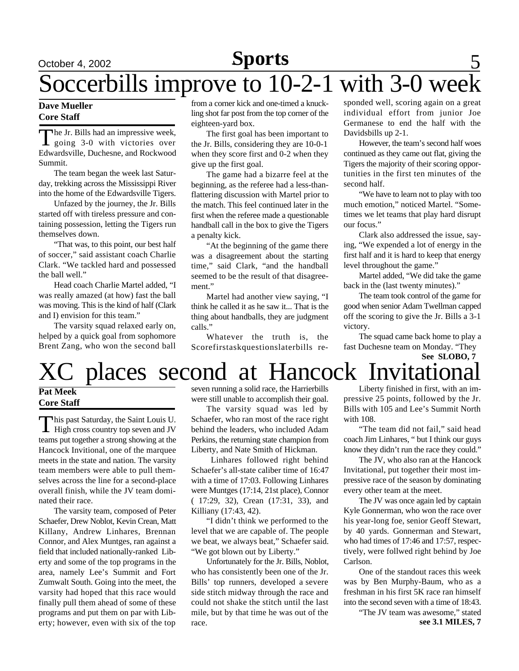### **Sports Sports**

## **Sports** 5 Soccerbills improve to  $10-2-1$  with  $3-0$  wee

### **Dave Mueller Core Staff**

The Jr. Bills had an impressive week,<br>going 3-0 with victories over<br>Edwardsville, Duchesne, and Rockwood he Jr. Bills had an impressive week, going 3-0 with victories over Summit.

The team began the week last Saturday, trekking across the Mississippi River into the home of the Edwardsville Tigers.

Unfazed by the journey, the Jr. Bills started off with tireless pressure and containing possession, letting the Tigers run themselves down.

"That was, to this point, our best half of soccer," said assistant coach Charlie Clark. "We tackled hard and possessed the ball well."

Head coach Charlie Martel added, "I was really amazed (at how) fast the ball was moving. This is the kind of half (Clark and I) envision for this team."

The varsity squad relaxed early on, helped by a quick goal from sophomore Brent Zang, who won the second ball from a corner kick and one-timed a knuckling shot far post from the top corner of the eighteen-yard box.

The first goal has been important to the Jr. Bills, considering they are 10-0-1 when they score first and 0-2 when they give up the first goal.

The game had a bizarre feel at the beginning, as the referee had a less-thanflattering discussion with Martel prior to the match. This feel continued later in the first when the referee made a questionable handball call in the box to give the Tigers a penalty kick.

"At the beginning of the game there was a disagreement about the starting time," said Clark, "and the handball seemed to be the result of that disagreement."

Martel had another view saying, "I think he called it as he saw it... That is the thing about handballs, they are judgment calls."

Whatever the truth is, the Scorefirstaskquestionslaterbills responded well, scoring again on a great individual effort from junior Joe Germanese to end the half with the Davidsbills up 2-1.

However, the team's second half woes continued as they came out flat, giving the Tigers the majority of their scoring opportunities in the first ten minutes of the second half.

"We have to learn not to play with too much emotion," noticed Martel. "Sometimes we let teams that play hard disrupt our focus."

Clark also addressed the issue, saying, "We expended a lot of energy in the first half and it is hard to keep that energy level throughout the game."

Martel added, "We did take the game back in the (last twenty minutes)."

The team took control of the game for good when senior Adam Twellman capped off the scoring to give the Jr. Bills a 3-1 victory.

The squad came back home to play a fast Duchesne team on Monday. "They

### places second at Hancock Invitational **See SLOBO, 7**

### **Pat Meek Core Staff**

This past Saturday, the Saint Louis U.<br>High cross country top seven and JV his past Saturday, the Saint Louis U. teams put together a strong showing at the Hancock Invitional, one of the marquee meets in the state and nation. The varsity team members were able to pull themselves across the line for a second-place overall finish, while the JV team dominated their race.

The varsity team, composed of Peter Schaefer, Drew Noblot, Kevin Crean, Matt Killany, Andrew Linhares, Brennan Connor, and Alex Muntges, ran against a field that included nationally-ranked Liberty and some of the top programs in the area, namely Lee's Summit and Fort Zumwalt South. Going into the meet, the varsity had hoped that this race would finally pull them ahead of some of these programs and put them on par with Liberty; however, even with six of the top seven running a solid race, the Harrierbills were still unable to accomplish their goal.

The varsity squad was led by Schaefer, who ran most of the race right behind the leaders, who included Adam Perkins, the returning state champion from Liberty, and Nate Smith of Hickman.

Linhares followed right behind Schaefer's all-state caliber time of 16:47 with a time of 17:03. Following Linhares were Muntges (17:14, 21st place), Connor ( 17:29, 32), Crean (17:31, 33), and Killiany (17:43, 42).

"I didn't think we performed to the level that we are capable of. The people we beat, we always beat," Schaefer said. "We got blown out by Liberty."

Unfortunately for the Jr. Bills, Noblot, who has consistently been one of the Jr. Bills' top runners, developed a severe side stitch midway through the race and could not shake the stitch until the last mile, but by that time he was out of the race.

Liberty finished in first, with an impressive 25 points, followed by the Jr. Bills with 105 and Lee's Summit North with 108.

"The team did not fail," said head coach Jim Linhares, " but I think our guys know they didn't run the race they could."

The JV, who also ran at the Hancock Invitational, put together their most impressive race of the season by dominating every other team at the meet.

The JV was once again led by captain Kyle Gonnerman, who won the race over his year-long foe, senior Geoff Stewart, by 40 yards. Gonnerman and Stewart, who had times of 17:46 and 17:57, respectively, were follwed right behind by Joe Carlson.

One of the standout races this week was by Ben Murphy-Baum, who as a freshman in his first 5K race ran himself into the second seven with a time of 18:43.

"The JV team was awesome," stated **see 3.1 MILES, 7**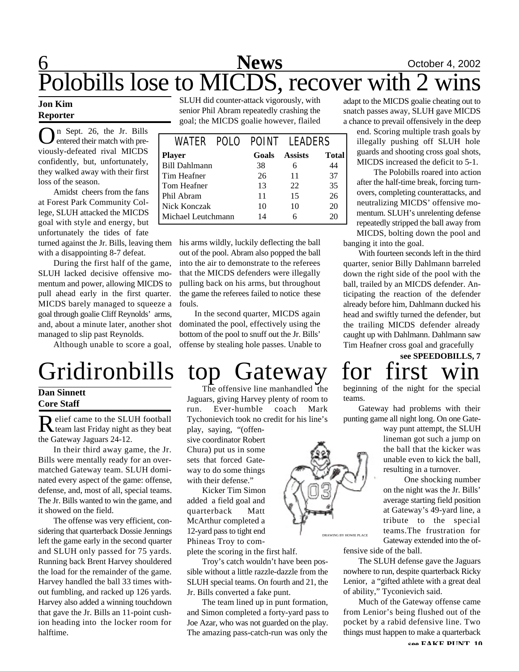## 6 **News** October 4, 2002 Polobills lose to MICDS, recover with 2 wins

### **Jon Kim Reporter**

On Sept. 26, the Jr. Bills<br>
entered their match with preentered their match with previously-defeated rival MICDS confidently, but, unfortunately, they walked away with their first loss of the season.

Amidst cheers from the fans at Forest Park Community College, SLUH attacked the MICDS goal with style and energy, but unfortunately the tides of fate turned against the Jr. Bills, leaving them

with a disappointing 8-7 defeat.

During the first half of the game, SLUH lacked decisive offensive momentum and power, allowing MICDS to pull ahead early in the first quarter. MICDS barely managed to squeeze a goal through goalie Cliff Reynolds' arms, and, about a minute later, another shot managed to slip past Reynolds.

Although unable to score a goal,

# Gridironbills top Gateway for first

### **Dan Sinnett Core Staff**

Relief came to the SLUH football<br>team last Friday night as they beat elief came to the SLUH football the Gateway Jaguars 24-12.

In their third away game, the Jr. Bills were mentally ready for an overmatched Gateway team. SLUH dominated every aspect of the game: offense, defense, and, most of all, special teams. The Jr. Bills wanted to win the game, and it showed on the field.

The offense was very efficient, considering that quarterback Dossie Jennings left the game early in the second quarter and SLUH only passed for 75 yards. Running back Brent Harvey shouldered the load for the remainder of the game. Harvey handled the ball 33 times without fumbling, and racked up 126 yards. Harvey also added a winning touchdown that gave the Jr. Bills an 11-point cushion heading into the locker room for halftime.

SLUH did counter-attack vigorously, with senior Phil Abram repeatedly crashing the goal; the MICDS goalie however, flailed

|                      |  |       | WATER POLO POINT LEADERS |       |
|----------------------|--|-------|--------------------------|-------|
| <b>Player</b>        |  | Goals | <b>Assists</b>           | Total |
| <b>Bill Dahlmann</b> |  | 38    | 6                        | 44    |
| Tim Heafner          |  | 26    | 11                       | 37    |
| Tom Heafner          |  | 13    | 22                       | 35    |
| Phil Abram           |  | 11    | 15                       | 26    |
| Nick Konczak         |  | 10    | 10                       | 20    |
| Michael Leutchmann   |  | 14    | 6                        | 20    |

his arms wildly, luckily deflecting the ball out of the pool. Abram also popped the ball into the air to demonstrate to the referees that the MICDS defenders were illegally pulling back on his arms, but throughout the game the referees failed to notice these fouls.

In the second quarter, MICDS again dominated the pool, effectively using the bottom of the pool to snuff out the Jr. Bills' offense by stealing hole passes. Unable to

play, saying, "(offensive coordinator Robert Chura) put us in some sets that forced Gateway to do some things with their defense."

Kicker Tim Simon added a field goal and quarterback Matt McArthur completed a 12-yard pass to tight end Phineas Troy to com-

plete the scoring in the first half.

Jr. Bills converted a fake punt.

Troy's catch wouldn't have been possible without a little razzle-dazzle from the SLUH special teams. On fourth and 21, the

The team lined up in punt formation, and Simon completed a forty-yard pass to Joe Azar, who was not guarded on the play. The amazing pass-catch-run was only the

The offensive line manhandled the Jaguars, giving Harvey plenty of room to run. Ever-humble coach Mark Tychonievich took no credit for his line's

adapt to the MICDS goalie cheating out to snatch passes away, SLUH gave MICDS a chance to prevail offensively in the deep

end. Scoring multiple trash goals by illegally pushing off SLUH hole guards and shooting cross goal shots, MICDS increased the deficit to 5-1.

The Polobills roared into action after the half-time break, forcing turnovers, completing counterattacks, and neutralizing MICDS' offensive momentum. SLUH's unrelenting defense repeatedly stripped the ball away from MICDS, bolting down the pool and

banging it into the goal.

With fourteen seconds left in the third quarter, senior Billy Dahlmann barreled down the right side of the pool with the ball, trailed by an MICDS defender. Anticipating the reaction of the defender already before him, Dahlmann ducked his head and swiftly turned the defender, but the trailing MICDS defender already caught up with Dahlmann. Dahlmann saw Tim Heafner cross goal and gracefully

# **see SPEEDOBILLS, 7**

beginning of the night for the special teams.

Gateway had problems with their punting game all night long. On one Gate-

> way punt attempt, the SLUH lineman got such a jump on the ball that the kicker was unable even to kick the ball, resulting in a turnover.

> One shocking number on the night was the Jr. Bills' average starting field position at Gateway's 49-yard line, a tribute to the special teams.The frustration for Gateway extended into the of-

fensive side of the ball.

The SLUH defense gave the Jaguars nowhere to run, despite quarterback Ricky Lenior, a "gifted athlete with a great deal of ability," Tyconievich said.

Much of the Gateway offense came from Lenior's being flushed out of the pocket by a rabid defensive line. Two things must happen to make a quarterback

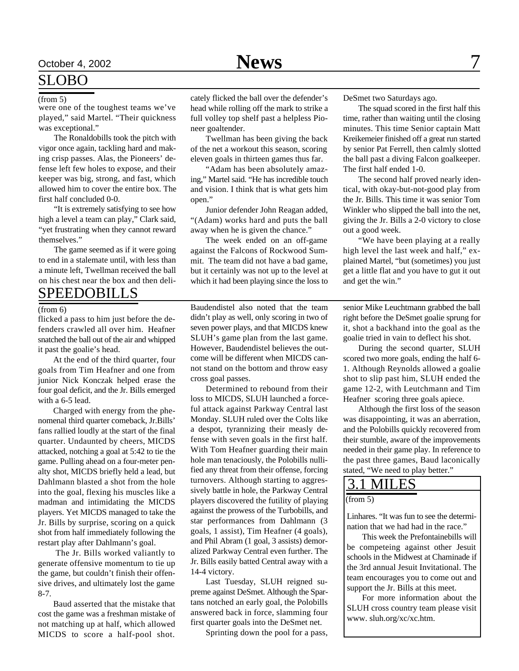### SLOBO

were one of the toughest teams we've played," said Martel. "Their quickness was exceptional."

The Ronaldobills took the pitch with vigor once again, tackling hard and making crisp passes. Alas, the Pioneers' defense left few holes to expose, and their keeper was big, strong, and fast, which allowed him to cover the entire box. The first half concluded 0-0.

"It is extremely satisfying to see how high a level a team can play," Clark said, "yet frustrating when they cannot reward themselves."

The game seemed as if it were going to end in a stalemate until, with less than a minute left, Twellman received the ball on his chest near the box and then deli-

### SPEEDOBILLS

#### (from 6)

flicked a pass to him just before the defenders crawled all over him. Heafner snatched the ball out of the air and whipped it past the goalie's head.

At the end of the third quarter, four goals from Tim Heafner and one from junior Nick Konczak helped erase the four goal deficit, and the Jr. Bills emerged with a 6-5 lead.

Charged with energy from the phenomenal third quarter comeback, Jr.Bills' fans rallied loudly at the start of the final quarter. Undaunted by cheers, MICDS attacked, notching a goal at 5:42 to tie the game. Pulling ahead on a four-meter penalty shot, MICDS briefly held a lead, but Dahlmann blasted a shot from the hole into the goal, flexing his muscles like a madman and intimidating the MICDS players. Yet MICDS managed to take the Jr. Bills by surprise, scoring on a quick shot from half immediately following the restart play after Dahlmann's goal.

 The Jr. Bills worked valiantly to generate offensive momentum to tie up the game, but couldn't finish their offensive drives, and ultimately lost the game 8-7.

Baud asserted that the mistake that cost the game was a freshman mistake of not matching up at half, which allowed MICDS to score a half-pool shot.

(from 5) cately flicked the ball over the defender's head while rolling off the mark to strike a full volley top shelf past a helpless Pioneer goaltender.

> Twellman has been giving the back of the net a workout this season, scoring eleven goals in thirteen games thus far.

> "Adam has been absolutely amazing," Martel said. "He has incredible touch and vision. I think that is what gets him open."

> Junior defender John Reagan added, "(Adam) works hard and puts the ball away when he is given the chance."

> The week ended on an off-game against the Falcons of Rockwood Summit. The team did not have a bad game, but it certainly was not up to the level at which it had been playing since the loss to

> Baudendistel also noted that the team didn't play as well, only scoring in two of seven power plays, and that MICDS knew SLUH's game plan from the last game. However, Baudendistel believes the outcome will be different when MICDS cannot stand on the bottom and throw easy cross goal passes.

> Determined to rebound from their loss to MICDS, SLUH launched a forceful attack against Parkway Central last Monday. SLUH ruled over the Colts like a despot, tyrannizing their measly defense with seven goals in the first half. With Tom Heafner guarding their main hole man tenaciously, the Polobills nullified any threat from their offense, forcing turnovers. Although starting to aggressively battle in hole, the Parkway Central players discovered the futility of playing against the prowess of the Turbobills, and star performances from Dahlmann (3 goals, 1 assist), Tim Heafner (4 goals), and Phil Abram (1 goal, 3 assists) demoralized Parkway Central even further. The Jr. Bills easily batted Central away with a 14-4 victory.

> Last Tuesday, SLUH reigned supreme against DeSmet. Although the Spartans notched an early goal, the Polobills answered back in force, slamming four first quarter goals into the DeSmet net.

> > Sprinting down the pool for a pass,

DeSmet two Saturdays ago.

The squad scored in the first half this time, rather than waiting until the closing minutes. This time Senior captain Matt Kreikemeier finished off a great run started by senior Pat Ferrell, then calmly slotted the ball past a diving Falcon goalkeeper. The first half ended 1-0.

The second half proved nearly identical, with okay-but-not-good play from the Jr. Bills. This time it was senior Tom Winkler who slipped the ball into the net, giving the Jr. Bills a 2-0 victory to close out a good week.

"We have been playing at a really high level the last week and half," explained Martel, "but (sometimes) you just get a little flat and you have to gut it out and get the win."

senior Mike Leuchtmann grabbed the ball right before the DeSmet goalie sprung for it, shot a backhand into the goal as the goalie tried in vain to deflect his shot.

During the second quarter, SLUH scored two more goals, ending the half 6- 1. Although Reynolds allowed a goalie shot to slip past him, SLUH ended the game 12-2, with Leutchmann and Tim Heafner scoring three goals apiece.

Although the first loss of the season was disappointing, it was an aberration, and the Polobills quickly recovered from their stumble, aware of the improvements needed in their game play. In reference to the past three games, Baud laconically stated, "We need to play better."

### 3.1 MILES

(from 5)

Linhares. "It was fun to see the determination that we had had in the race."

This week the Prefontainebills will be competeing against other Jesuit schools in the Midwest at Chaminade if the 3rd annual Jesuit Invitational. The team encourages you to come out and support the Jr. Bills at this meet.

For more information about the SLUH cross country team please visit www. sluh.org/xc/xc.htm.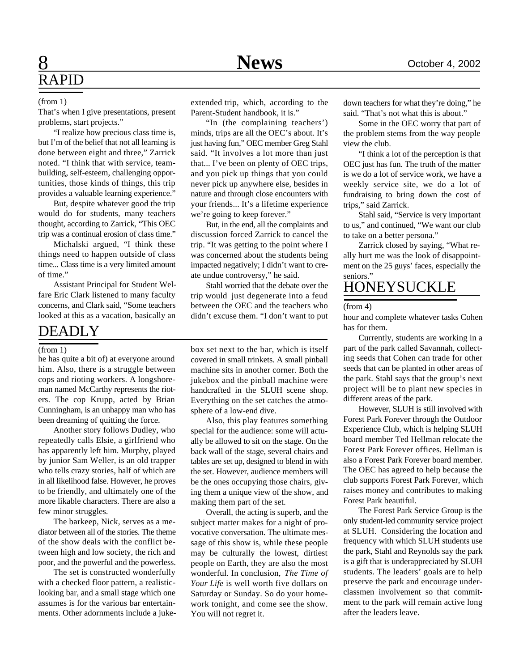## 8 **News** October 4, 2002 RAPID

#### (from 1)

That's when I give presentations, present problems, start projects."

"I realize how precious class time is, but I'm of the belief that not all learning is done between eight and three," Zarrick noted. "I think that with service, teambuilding, self-esteem, challenging opportunities, those kinds of things, this trip provides a valuable learning experience."

But, despite whatever good the trip would do for students, many teachers thought, according to Zarrick, "This OEC trip was a continual erosion of class time."

Michalski argued, "I think these things need to happen outside of class time... Class time is a very limited amount of time."

Assistant Principal for Student Welfare Eric Clark listened to many faculty concerns, and Clark said, "Some teachers looked at this as a vacation, basically an

### DEADLY

### (from  $\overline{1}$ )

he has quite a bit of) at everyone around him. Also, there is a struggle between cops and rioting workers. A longshoreman named McCarthy represents the rioters. The cop Krupp, acted by Brian Cunningham, is an unhappy man who has been dreaming of quitting the force.

Another story follows Dudley, who repeatedly calls Elsie, a girlfriend who has apparently left him. Murphy, played by junior Sam Weller, is an old trapper who tells crazy stories, half of which are in all likelihood false. However, he proves to be friendly, and ultimately one of the more likable characters. There are also a few minor struggles.

The barkeep, Nick, serves as a mediator between all of the stories. The theme of the show deals with the conflict between high and low society, the rich and poor, and the powerful and the powerless.

The set is constructed wonderfully with a checked floor pattern, a realisticlooking bar, and a small stage which one assumes is for the various bar entertainments. Other adornments include a jukeextended trip, which, according to the Parent-Student handbook, it is."

"In (the complaining teachers') minds, trips are all the OEC's about. It's just having fun," OEC member Greg Stahl said. "It involves a lot more than just that... I've been on plenty of OEC trips, and you pick up things that you could never pick up anywhere else, besides in nature and through close encounters with your friends... It's a lifetime experience we're going to keep forever."

But, in the end, all the complaints and discussion forced Zarrick to cancel the trip. "It was getting to the point where I was concerned about the students being impacted negatively; I didn't want to create undue controversy," he said.

Stahl worried that the debate over the trip would just degenerate into a feud between the OEC and the teachers who didn't excuse them. "I don't want to put

box set next to the bar, which is itself covered in small trinkets. A small pinball machine sits in another corner. Both the jukebox and the pinball machine were handcrafted in the SLUH scene shop. Everything on the set catches the atmosphere of a low-end dive.

Also, this play features something special for the audience: some will actually be allowed to sit on the stage. On the back wall of the stage, several chairs and tables are set up, designed to blend in with the set. However, audience members will be the ones occupying those chairs, giving them a unique view of the show, and making them part of the set.

Overall, the acting is superb, and the subject matter makes for a night of provocative conversation. The ultimate message of this show is, while these people may be culturally the lowest, dirtiest people on Earth, they are also the most wonderful. In conclusion, *The Time of Your Life* is well worth five dollars on Saturday or Sunday. So do your homework tonight, and come see the show. You will not regret it.

down teachers for what they're doing," he said. "That's not what this is about."

Some in the OEC worry that part of the problem stems from the way people view the club.

"I think a lot of the perception is that OEC just has fun. The truth of the matter is we do a lot of service work, we have a weekly service site, we do a lot of fundraising to bring down the cost of trips," said Zarrick.

Stahl said, "Service is very important to us," and continued, "We want our club to take on a better persona."

Zarrick closed by saying, "What really hurt me was the look of disappointment on the 25 guys' faces, especially the seniors."

### HONEYSUCKLE

#### (from 4)

hour and complete whatever tasks Cohen has for them.

Currently, students are working in a part of the park called Savannah, collecting seeds that Cohen can trade for other seeds that can be planted in other areas of the park. Stahl says that the group's next project will be to plant new species in different areas of the park.

However, SLUH is still involved with Forest Park Forever through the Outdoor Experience Club, which is helping SLUH board member Ted Hellman relocate the Forest Park Forever offices. Hellman is also a Forest Park Forever board member. The OEC has agreed to help because the club supports Forest Park Forever, which raises money and contributes to making Forest Park beautiful.

The Forest Park Service Group is the only student-led community service project at SLUH. Considering the location and frequency with which SLUH students use the park, Stahl and Reynolds say the park is a gift that is underappreciated by SLUH students. The leaders' goals are to help preserve the park and encourage underclassmen involvement so that commitment to the park will remain active long after the leaders leave.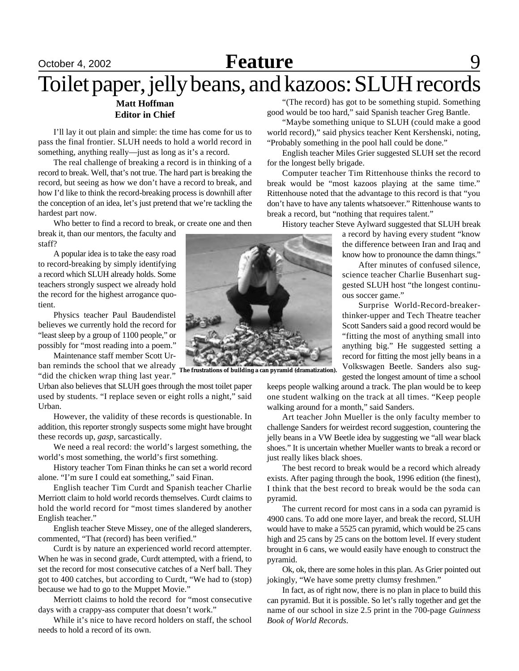### October 4, 2002 **Reature** 9 **Feature**

## Toilet paper, jelly beans, and kazoos: SLUH records

### **Matt Hoffman Editor in Chief**

I'll lay it out plain and simple: the time has come for us to pass the final frontier. SLUH needs to hold a world record in something, anything really—just as long as it's a record.

The real challenge of breaking a record is in thinking of a record to break. Well, that's not true. The hard part is breaking the record, but seeing as how we don't have a record to break, and how I'd like to think the record-breaking process is downhill after the conception of an idea, let's just pretend that we're tackling the hardest part now.

Who better to find a record to break, or create one and then break it, than our mentors, the faculty and

staff? A popular idea is to take the easy road

to record-breaking by simply identifying a record which SLUH already holds. Some teachers strongly suspect we already hold the record for the highest arrogance quotient.

Physics teacher Paul Baudendistel believes we currently hold the record for "least sleep by a group of 1100 people," or possibly for "most reading into a poem."

Maintenance staff member Scott Urban reminds the school that we already **The frustrations of building a can pyramid (dramatization).** "did the chicken wrap thing last year."

Urban also believes that SLUH goes through the most toilet paper used by students. "I replace seven or eight rolls a night," said Urban.

However, the validity of these records is questionable. In addition, this reporter strongly suspects some might have brought these records up, *gasp*, sarcastically.

We need a real record: the world's largest something, the world's most something, the world's first something.

History teacher Tom Finan thinks he can set a world record alone. "I'm sure I could eat something," said Finan.

English teacher Tim Curdt and Spanish teacher Charlie Merriott claim to hold world records themselves. Curdt claims to hold the world record for "most times slandered by another English teacher."

English teacher Steve Missey, one of the alleged slanderers, commented, "That (record) has been verified."

Curdt is by nature an experienced world record attempter. When he was in second grade, Curdt attempted, with a friend, to set the record for most consecutive catches of a Nerf ball. They got to 400 catches, but according to Curdt, "We had to (stop) because we had to go to the Muppet Movie."

Merriott claims to hold the record for "most consecutive days with a crappy-ass computer that doesn't work."

While it's nice to have record holders on staff, the school needs to hold a record of its own.

"(The record) has got to be something stupid. Something good would be too hard," said Spanish teacher Greg Bantle.

"Maybe something unique to SLUH (could make a good world record)," said physics teacher Kent Kershenski, noting, "Probably something in the pool hall could be done."

English teacher Miles Grier suggested SLUH set the record for the longest belly brigade.

Computer teacher Tim Rittenhouse thinks the record to break would be "most kazoos playing at the same time." Rittenhouse noted that the advantage to this record is that "you don't have to have any talents whatsoever." Rittenhouse wants to break a record, but "nothing that requires talent."

History teacher Steve Aylward suggested that SLUH break

a record by having every student "know the difference between Iran and Iraq and know how to pronounce the damn things."

After minutes of confused silence, science teacher Charlie Busenhart suggested SLUH host "the longest continuous soccer game."

Surprise World-Record-breakerthinker-upper and Tech Theatre teacher Scott Sanders said a good record would be "fitting the most of anything small into anything big." He suggested setting a record for fitting the most jelly beans in a Volkswagen Beetle. Sanders also suggested the longest amount of time a school

keeps people walking around a track. The plan would be to keep one student walking on the track at all times. "Keep people walking around for a month," said Sanders.

Art teacher John Mueller is the only faculty member to challenge Sanders for weirdest record suggestion, countering the jelly beans in a VW Beetle idea by suggesting we "all wear black shoes." It is uncertain whether Mueller wants to break a record or just really likes black shoes.

The best record to break would be a record which already exists. After paging through the book, 1996 edition (the finest), I think that the best record to break would be the soda can pyramid.

The current record for most cans in a soda can pyramid is 4900 cans. To add one more layer, and break the record, SLUH would have to make a 5525 can pyramid, which would be 25 cans high and 25 cans by 25 cans on the bottom level. If every student brought in 6 cans, we would easily have enough to construct the pyramid.

Ok, ok, there are some holes in this plan. As Grier pointed out jokingly, "We have some pretty clumsy freshmen."

In fact, as of right now, there is no plan in place to build this can pyramid. But it is possible. So let's rally together and get the name of our school in size 2.5 print in the 700-page *Guinness Book of World Records*.